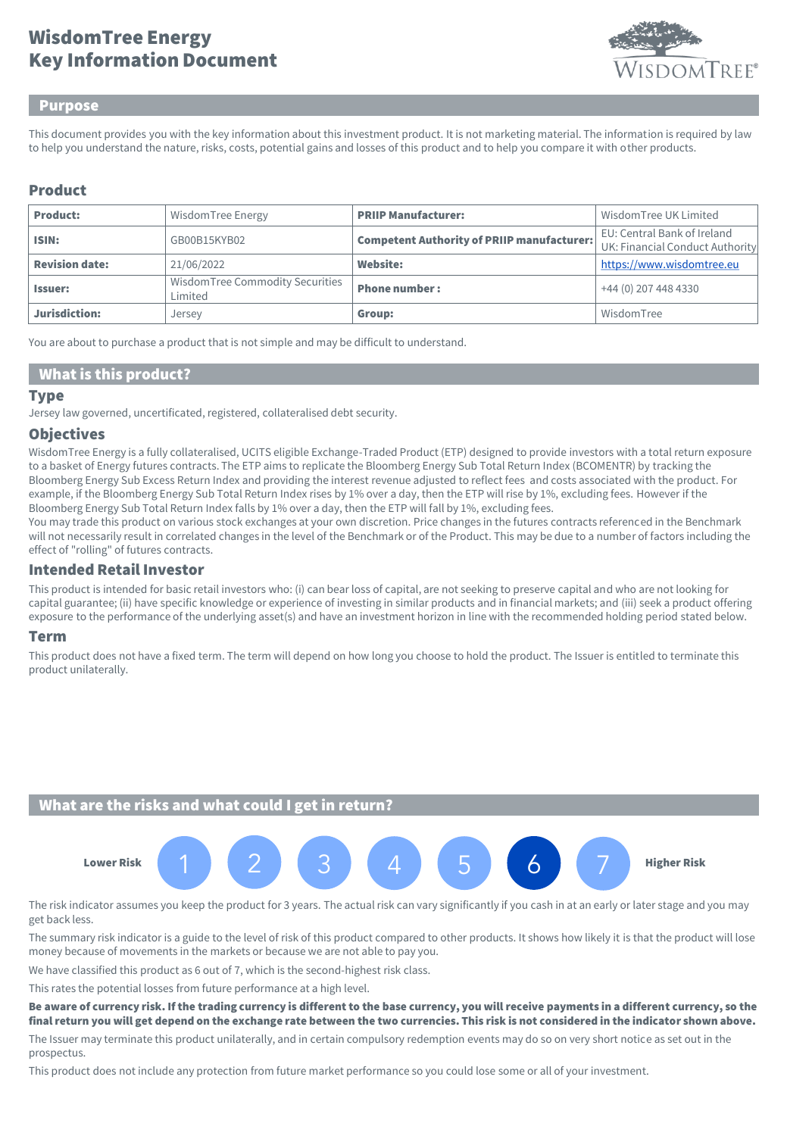# Key Information Document WisdomTree Energy



#### Purpose

This document provides you with the key information about this investment product. It is not marketing material. The information is required by law to help you understand the nature, risks, costs, potential gains and losses of this product and to help you compare it with other products.

## Product

| <b>Product:</b>       | WisdomTree Energy                          | <b>PRIIP Manufacturer:</b>                        | Wisdom Tree UK Limited                                         |
|-----------------------|--------------------------------------------|---------------------------------------------------|----------------------------------------------------------------|
| ISIN:                 | GB00B15KYB02                               | <b>Competent Authority of PRIIP manufacturer:</b> | EU: Central Bank of Ireland<br>UK: Financial Conduct Authority |
| <b>Revision date:</b> | 21/06/2022                                 | Website:                                          | https://www.wisdomtree.eu                                      |
| <b>Issuer:</b>        | WisdomTree Commodity Securities<br>Limited | <b>Phone number:</b>                              | +44 (0) 207 448 4330                                           |
| Jurisdiction:         | Jersey                                     | Group:                                            | WisdomTree                                                     |

You are about to purchase a product that is not simple and may be difficult to understand.

### What is this product?

#### **Type**

Jersey law governed, uncertificated, registered, collateralised debt security.

#### **Objectives**

WisdomTree Energy is a fully collateralised, UCITS eligible Exchange-Traded Product (ETP) designed to provide investors with a total return exposure to a basket of Energy futures contracts. The ETP aims to replicate the Bloomberg Energy Sub Total Return Index (BCOMENTR) by tracking the Bloomberg Energy Sub Excess Return Index and providing the interest revenue adjusted to reflect fees and costs associated with the product. For example, if the Bloomberg Energy Sub Total Return Index rises by 1% over a day, then the ETP will rise by 1%, excluding fees. However if the Bloomberg Energy Sub Total Return Index falls by 1% over a day, then the ETP will fall by 1%, excluding fees.

You may trade this product on various stock exchanges at your own discretion. Price changes in the futures contracts referenced in the Benchmark will not necessarily result in correlated changes in the level of the Benchmark or of the Product. This may be due to a number of factors including the effect of "rolling" of futures contracts.

## Intended Retail Investor

This product is intended for basic retail investors who: (i) can bear loss of capital, are not seeking to preserve capital and who are not looking for capital guarantee; (ii) have specific knowledge or experience of investing in similar products and in financial markets; and (iii) seek a product offering exposure to the performance of the underlying asset(s) and have an investment horizon in line with the recommended holding period stated below.

#### Term

This product does not have a fixed term. The term will depend on how long you choose to hold the product. The Issuer is entitled to terminate this product unilaterally.

### What are the risks and what could I get in return?



The risk indicator assumes you keep the product for 3 years. The actual risk can vary significantly if you cash in at an early or later stage and you may get back less.

The summary risk indicator is a guide to the level of risk of this product compared to other products. It shows how likely it is that the product will lose money because of movements in the markets or because we are not able to pay you.

We have classified this product as 6 out of 7, which is the second-highest risk class.

This rates the potential losses from future performance at a high level.

Be aware of currency risk. If the trading currency is different to the base currency, you will receive payments in a different currency, so the final return you will get depend on the exchange rate between the two currencies. This risk is not considered in the indicator shown above.

The Issuer may terminate this product unilaterally, and in certain compulsory redemption events may do so on very short notice as set out in the prospectus.

This product does not include any protection from future market performance so you could lose some or all of your investment.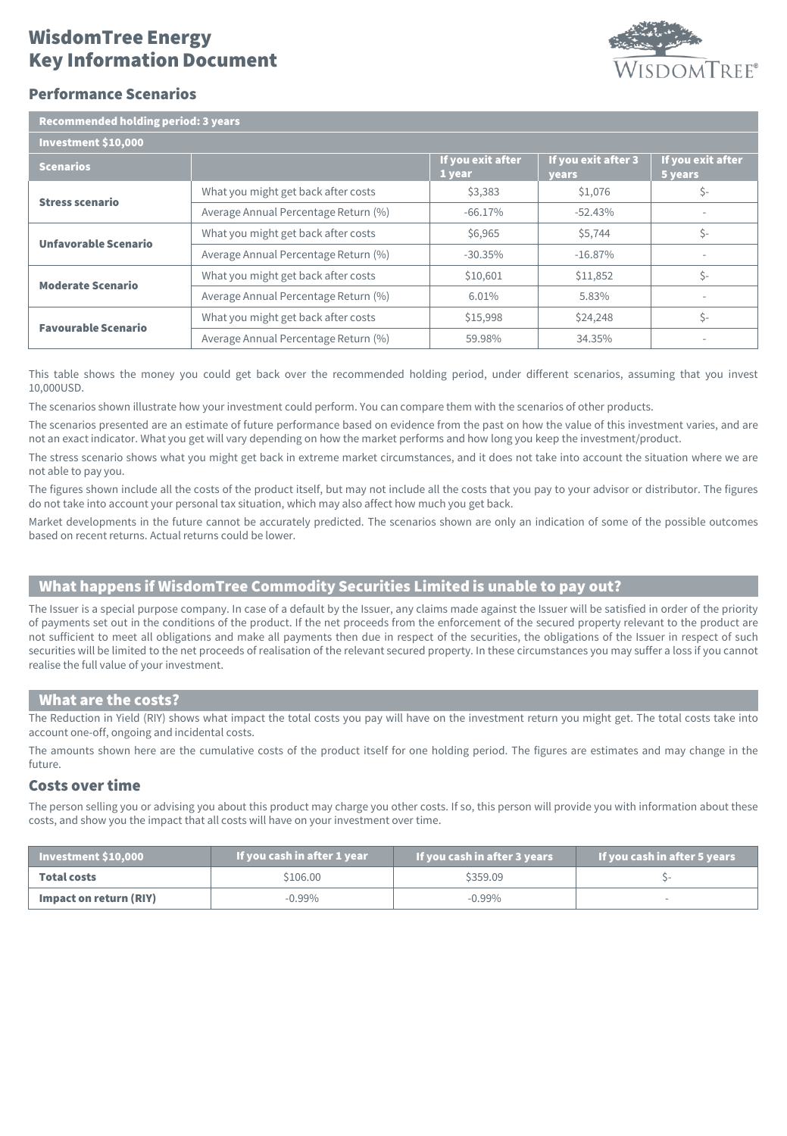# Key Information Document WisdomTree Energy



## Performance Scenarios

| Recommended holding period: 3 years |  |
|-------------------------------------|--|
|                                     |  |

| Investment \$10,000        |                                      |                             |                              |                              |
|----------------------------|--------------------------------------|-----------------------------|------------------------------|------------------------------|
| <b>Scenarios</b>           |                                      | If you exit after<br>1 year | If you exit after 3<br>years | If you exit after<br>5 years |
| <b>Stress scenario</b>     | What you might get back after costs  | \$3,383                     | \$1,076                      | \$-                          |
|                            | Average Annual Percentage Return (%) | $-66.17\%$                  | $-52.43%$                    |                              |
| Unfavorable Scenario       | What you might get back after costs  | \$6,965                     | \$5,744                      | \$-                          |
|                            | Average Annual Percentage Return (%) | $-30.35\%$                  | $-16.87%$                    |                              |
| <b>Moderate Scenario</b>   | What you might get back after costs  | \$10,601                    | \$11,852                     | Ś-                           |
|                            | Average Annual Percentage Return (%) | 6.01%                       | 5.83%                        |                              |
| <b>Favourable Scenario</b> | What you might get back after costs  | \$15,998                    | \$24,248                     | Ś-                           |
|                            | Average Annual Percentage Return (%) | 59.98%                      | 34.35%                       |                              |

This table shows the money you could get back over the recommended holding period, under different scenarios, assuming that you invest 10,000USD.

The scenarios shown illustrate how your investment could perform. You can compare them with the scenarios of other products.

The scenarios presented are an estimate of future performance based on evidence from the past on how the value of this investment varies, and are not an exact indicator. What you get will vary depending on how the market performs and how long you keep the investment/product.

The stress scenario shows what you might get back in extreme market circumstances, and it does not take into account the situation where we are not able to pay you.

The figures shown include all the costs of the product itself, but may not include all the costs that you pay to your advisor or distributor. The figures do not take into account your personal tax situation, which may also affect how much you get back.

Market developments in the future cannot be accurately predicted. The scenarios shown are only an indication of some of the possible outcomes based on recent returns. Actual returns could be lower.

# What happens if WisdomTree Commodity Securities Limited is unable to pay out?

The Issuer is a special purpose company. In case of a default by the Issuer, any claims made against the Issuer will be satisfied in order of the priority of payments set out in the conditions of the product. If the net proceeds from the enforcement of the secured property relevant to the product are not sufficient to meet all obligations and make all payments then due in respect of the securities, the obligations of the Issuer in respect of such securities will be limited to the net proceeds of realisation of the relevant secured property. In these circumstances you may suffer a loss if you cannot realise the full value of your investment.

#### What are the costs?

The Reduction in Yield (RIY) shows what impact the total costs you pay will have on the investment return you might get. The total costs take into account one-off, ongoing and incidental costs.

The amounts shown here are the cumulative costs of the product itself for one holding period. The figures are estimates and may change in the future.

#### Costs over time

The person selling you or advising you about this product may charge you other costs. If so, this person will provide you with information about these costs, and show you the impact that all costs will have on your investment over time.

| Investment $$10,000$   | If you cash in after 1 year | If you cash in after 3 years | If you cash in after 5 years |
|------------------------|-----------------------------|------------------------------|------------------------------|
| <b>Total costs</b>     | \$106.00                    | \$359.09                     |                              |
| Impact on return (RIY) | $-0.99\%$                   | $-0.99\%$                    |                              |